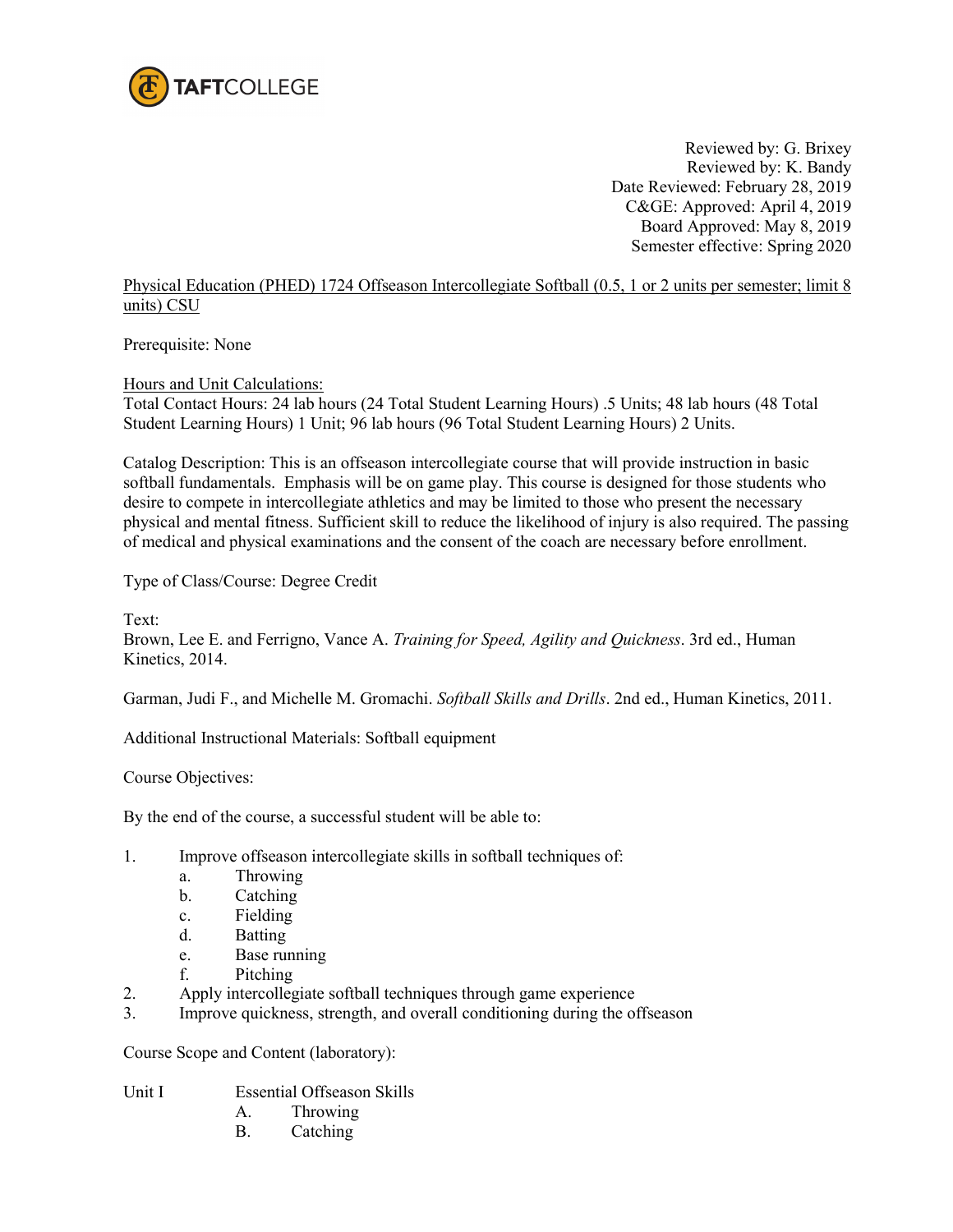

Reviewed by: G. Brixey Reviewed by: K. Bandy Date Reviewed: February 28, 2019 C&GE: Approved: April 4, 2019 Board Approved: May 8, 2019 Semester effective: Spring 2020

Physical Education (PHED) 1724 Offseason Intercollegiate Softball (0.5, 1 or 2 units per semester; limit 8 units) CSU

Prerequisite: None

Hours and Unit Calculations:

Total Contact Hours: 24 lab hours (24 Total Student Learning Hours) .5 Units; 48 lab hours (48 Total Student Learning Hours) 1 Unit; 96 lab hours (96 Total Student Learning Hours) 2 Units.

Catalog Description: This is an offseason intercollegiate course that will provide instruction in basic softball fundamentals. Emphasis will be on game play. This course is designed for those students who desire to compete in intercollegiate athletics and may be limited to those who present the necessary physical and mental fitness. Sufficient skill to reduce the likelihood of injury is also required. The passing of medical and physical examinations and the consent of the coach are necessary before enrollment.

Type of Class/Course: Degree Credit

Text:

Brown, Lee E. and Ferrigno, Vance A. *Training for Speed, Agility and Quickness*. 3rd ed., Human Kinetics, 2014.

Garman, Judi F., and Michelle M. Gromachi. *Softball Skills and Drills*. 2nd ed., Human Kinetics, 2011.

Additional Instructional Materials: Softball equipment

Course Objectives:

By the end of the course, a successful student will be able to:

- 1. Improve offseason intercollegiate skills in softball techniques of:
	- a. Throwing
	- b. Catching
	- c. Fielding
	- d. Batting
	- e. Base running
	- f. Pitching
- 2. Apply intercollegiate softball techniques through game experience
- 3. Improve quickness, strength, and overall conditioning during the offseason

Course Scope and Content (laboratory):

Unit I Essential Offseason Skills

- A. Throwing
- B. Catching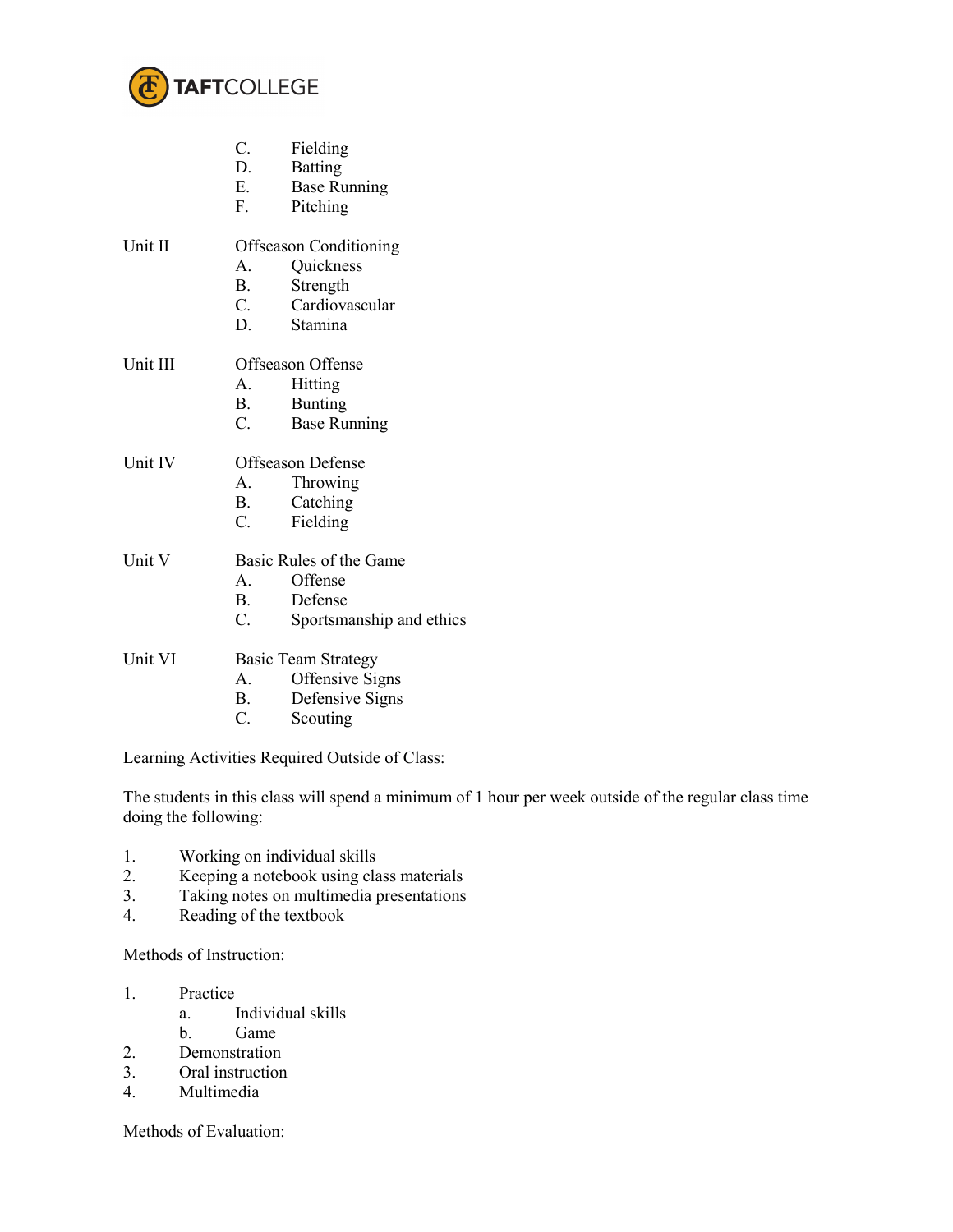

|          | $C_{\cdot}$                   | Fielding                 |  |
|----------|-------------------------------|--------------------------|--|
|          | D.                            | <b>Batting</b>           |  |
|          | E.                            | <b>Base Running</b>      |  |
|          | $F_{\rm{L}}$                  | Pitching                 |  |
| Unit II  | <b>Offseason Conditioning</b> |                          |  |
|          | A.                            | Quickness                |  |
|          | B.                            | Strength                 |  |
|          | C.                            | Cardiovascular           |  |
|          |                               | D. Stamina               |  |
| Unit III | Offseason Offense             |                          |  |
|          | A.                            | Hitting                  |  |
|          | <b>B</b> .                    | <b>Bunting</b>           |  |
|          | $C_{\cdot}$                   | <b>Base Running</b>      |  |
| Unit IV  | Offseason Defense             |                          |  |
|          |                               | A. Throwing              |  |
|          | <b>B</b> .                    | Catching                 |  |
|          | C.                            | Fielding                 |  |
| Unit V   | Basic Rules of the Game       |                          |  |
|          | A.                            | Offense                  |  |
|          | <b>B</b> .                    | Defense                  |  |
|          | $C_{\cdot}$                   | Sportsmanship and ethics |  |
| Unit VI  | <b>Basic Team Strategy</b>    |                          |  |
|          | A.                            | Offensive Signs          |  |
|          | B.                            | Defensive Signs          |  |
|          | C.                            | Scouting                 |  |
|          |                               |                          |  |

Learning Activities Required Outside of Class:

The students in this class will spend a minimum of 1 hour per week outside of the regular class time doing the following:

- 1. Working on individual skills<br>2. Keeping a notebook using cla
- 2. Keeping a notebook using class materials<br>3. Taking notes on multimedia presentations
- Taking notes on multimedia presentations
- 4. Reading of the textbook

Methods of Instruction:

- 1. Practice
	- a. Individual skills
	- b. Game
- 2. Demonstration
- 3. Oral instruction<br>4. Multimedia
- **Multimedia**

Methods of Evaluation: